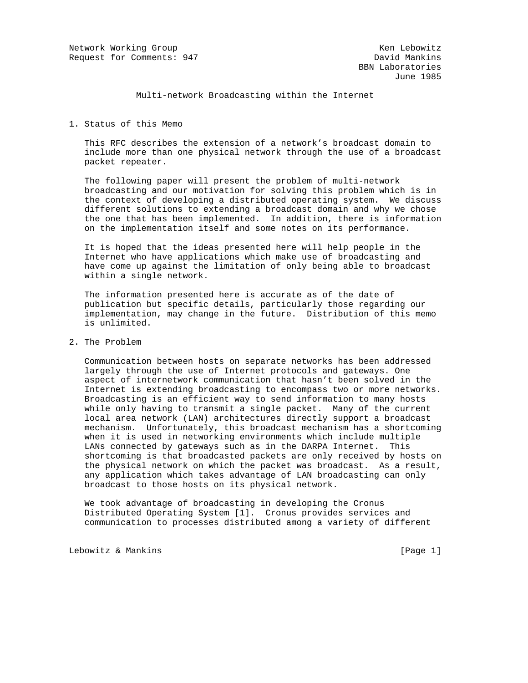## Multi-network Broadcasting within the Internet

## 1. Status of this Memo

 This RFC describes the extension of a network's broadcast domain to include more than one physical network through the use of a broadcast packet repeater.

 The following paper will present the problem of multi-network broadcasting and our motivation for solving this problem which is in the context of developing a distributed operating system. We discuss different solutions to extending a broadcast domain and why we chose the one that has been implemented. In addition, there is information on the implementation itself and some notes on its performance.

 It is hoped that the ideas presented here will help people in the Internet who have applications which make use of broadcasting and have come up against the limitation of only being able to broadcast within a single network.

 The information presented here is accurate as of the date of publication but specific details, particularly those regarding our implementation, may change in the future. Distribution of this memo is unlimited.

## 2. The Problem

 Communication between hosts on separate networks has been addressed largely through the use of Internet protocols and gateways. One aspect of internetwork communication that hasn't been solved in the Internet is extending broadcasting to encompass two or more networks. Broadcasting is an efficient way to send information to many hosts while only having to transmit a single packet. Many of the current local area network (LAN) architectures directly support a broadcast mechanism. Unfortunately, this broadcast mechanism has a shortcoming when it is used in networking environments which include multiple LANs connected by gateways such as in the DARPA Internet. This shortcoming is that broadcasted packets are only received by hosts on the physical network on which the packet was broadcast. As a result, any application which takes advantage of LAN broadcasting can only broadcast to those hosts on its physical network.

 We took advantage of broadcasting in developing the Cronus Distributed Operating System [1]. Cronus provides services and communication to processes distributed among a variety of different

Lebowitz & Mankins (2008) [Page 1]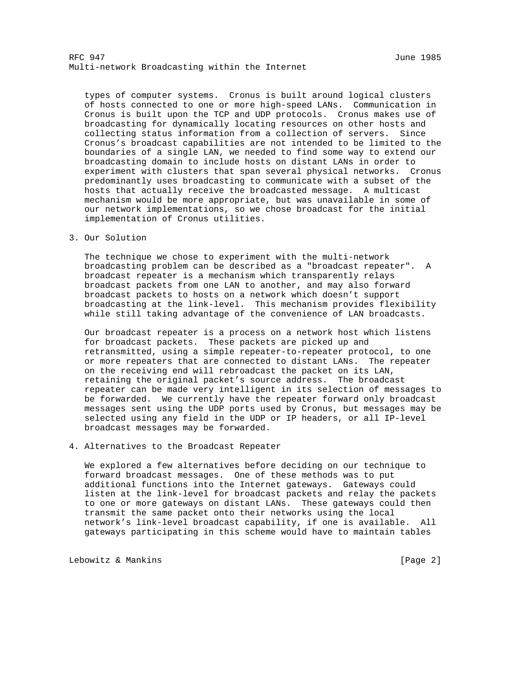RFC 947 June 1985 Multi-network Broadcasting within the Internet

 types of computer systems. Cronus is built around logical clusters of hosts connected to one or more high-speed LANs. Communication in Cronus is built upon the TCP and UDP protocols. Cronus makes use of broadcasting for dynamically locating resources on other hosts and collecting status information from a collection of servers. Since Cronus's broadcast capabilities are not intended to be limited to the boundaries of a single LAN, we needed to find some way to extend our broadcasting domain to include hosts on distant LANs in order to experiment with clusters that span several physical networks. Cronus predominantly uses broadcasting to communicate with a subset of the hosts that actually receive the broadcasted message. A multicast mechanism would be more appropriate, but was unavailable in some of our network implementations, so we chose broadcast for the initial implementation of Cronus utilities.

## 3. Our Solution

 The technique we chose to experiment with the multi-network broadcasting problem can be described as a "broadcast repeater". A broadcast repeater is a mechanism which transparently relays broadcast packets from one LAN to another, and may also forward broadcast packets to hosts on a network which doesn't support broadcasting at the link-level. This mechanism provides flexibility while still taking advantage of the convenience of LAN broadcasts.

 Our broadcast repeater is a process on a network host which listens for broadcast packets. These packets are picked up and retransmitted, using a simple repeater-to-repeater protocol, to one or more repeaters that are connected to distant LANs. The repeater on the receiving end will rebroadcast the packet on its LAN, retaining the original packet's source address. The broadcast repeater can be made very intelligent in its selection of messages to be forwarded. We currently have the repeater forward only broadcast messages sent using the UDP ports used by Cronus, but messages may be selected using any field in the UDP or IP headers, or all IP-level broadcast messages may be forwarded.

4. Alternatives to the Broadcast Repeater

 We explored a few alternatives before deciding on our technique to forward broadcast messages. One of these methods was to put additional functions into the Internet gateways. Gateways could listen at the link-level for broadcast packets and relay the packets to one or more gateways on distant LANs. These gateways could then transmit the same packet onto their networks using the local network's link-level broadcast capability, if one is available. All gateways participating in this scheme would have to maintain tables

Lebowitz & Mankins [Page 2]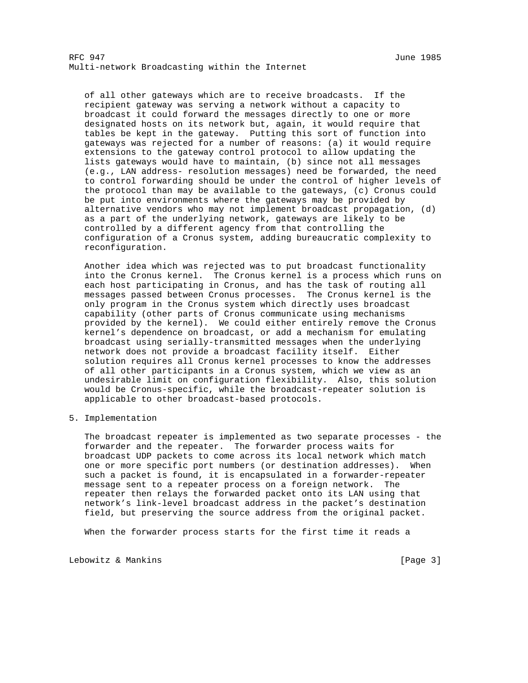of all other gateways which are to receive broadcasts. If the recipient gateway was serving a network without a capacity to broadcast it could forward the messages directly to one or more designated hosts on its network but, again, it would require that tables be kept in the gateway. Putting this sort of function into gateways was rejected for a number of reasons: (a) it would require extensions to the gateway control protocol to allow updating the lists gateways would have to maintain, (b) since not all messages (e.g., LAN address- resolution messages) need be forwarded, the need to control forwarding should be under the control of higher levels of the protocol than may be available to the gateways, (c) Cronus could be put into environments where the gateways may be provided by alternative vendors who may not implement broadcast propagation, (d) as a part of the underlying network, gateways are likely to be controlled by a different agency from that controlling the configuration of a Cronus system, adding bureaucratic complexity to reconfiguration.

 Another idea which was rejected was to put broadcast functionality into the Cronus kernel. The Cronus kernel is a process which runs on each host participating in Cronus, and has the task of routing all messages passed between Cronus processes. The Cronus kernel is the only program in the Cronus system which directly uses broadcast capability (other parts of Cronus communicate using mechanisms provided by the kernel). We could either entirely remove the Cronus kernel's dependence on broadcast, or add a mechanism for emulating broadcast using serially-transmitted messages when the underlying network does not provide a broadcast facility itself. Either solution requires all Cronus kernel processes to know the addresses of all other participants in a Cronus system, which we view as an undesirable limit on configuration flexibility. Also, this solution would be Cronus-specific, while the broadcast-repeater solution is applicable to other broadcast-based protocols.

5. Implementation

 The broadcast repeater is implemented as two separate processes - the forwarder and the repeater. The forwarder process waits for broadcast UDP packets to come across its local network which match one or more specific port numbers (or destination addresses). When such a packet is found, it is encapsulated in a forwarder-repeater message sent to a repeater process on a foreign network. The repeater then relays the forwarded packet onto its LAN using that network's link-level broadcast address in the packet's destination field, but preserving the source address from the original packet.

When the forwarder process starts for the first time it reads a

Lebowitz & Mankins (2009) [Page 3]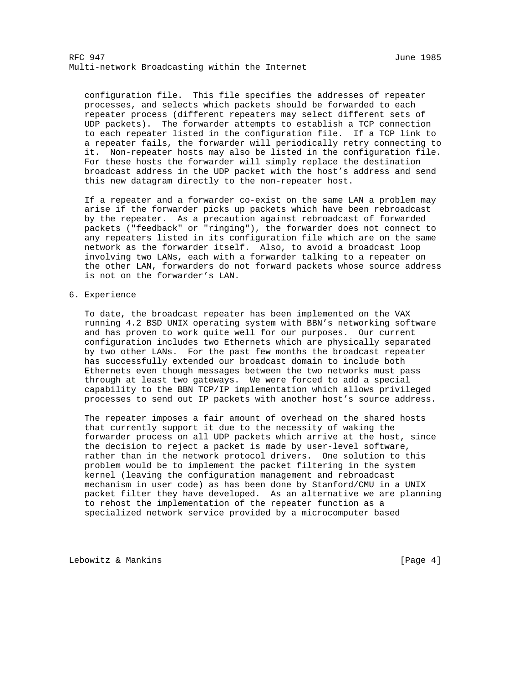configuration file. This file specifies the addresses of repeater processes, and selects which packets should be forwarded to each repeater process (different repeaters may select different sets of UDP packets). The forwarder attempts to establish a TCP connection to each repeater listed in the configuration file. If a TCP link to a repeater fails, the forwarder will periodically retry connecting to it. Non-repeater hosts may also be listed in the configuration file. For these hosts the forwarder will simply replace the destination broadcast address in the UDP packet with the host's address and send this new datagram directly to the non-repeater host.

 If a repeater and a forwarder co-exist on the same LAN a problem may arise if the forwarder picks up packets which have been rebroadcast by the repeater. As a precaution against rebroadcast of forwarded packets ("feedback" or "ringing"), the forwarder does not connect to any repeaters listed in its configuration file which are on the same network as the forwarder itself. Also, to avoid a broadcast loop involving two LANs, each with a forwarder talking to a repeater on the other LAN, forwarders do not forward packets whose source address is not on the forwarder's LAN.

6. Experience

 To date, the broadcast repeater has been implemented on the VAX running 4.2 BSD UNIX operating system with BBN's networking software and has proven to work quite well for our purposes. Our current configuration includes two Ethernets which are physically separated by two other LANs. For the past few months the broadcast repeater has successfully extended our broadcast domain to include both Ethernets even though messages between the two networks must pass through at least two gateways. We were forced to add a special capability to the BBN TCP/IP implementation which allows privileged processes to send out IP packets with another host's source address.

 The repeater imposes a fair amount of overhead on the shared hosts that currently support it due to the necessity of waking the forwarder process on all UDP packets which arrive at the host, since the decision to reject a packet is made by user-level software, rather than in the network protocol drivers. One solution to this problem would be to implement the packet filtering in the system kernel (leaving the configuration management and rebroadcast mechanism in user code) as has been done by Stanford/CMU in a UNIX packet filter they have developed. As an alternative we are planning to rehost the implementation of the repeater function as a specialized network service provided by a microcomputer based

Lebowitz & Mankins (2009) [Page 4]